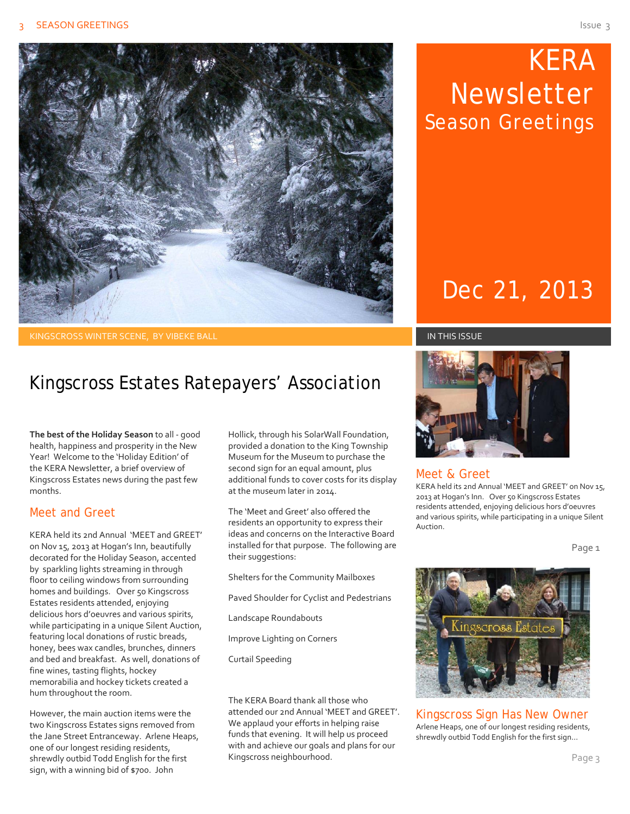

 KERA Newsletter Season Greetings

# Dec 21, 2013

#### KINGSCROSS WINTER SCENE, BY VIBEKE BALL IN THIS ISSUE

### Kingscross Estates Ratepayers' Association

**The best of the Holiday Season** to all ‐ good health, happiness and prosperity in the New Year! Welcome to the 'Holiday Edition' of the KERA Newsletter, a brief overview of Kingscross Estates news during the past few months.

#### Meet and Greet

KERA held its 2nd Annual 'MEET and GREET' on Nov 15, 2013 at Hogan's Inn, beautifully decorated for the Holiday Season, accented by sparkling lights streaming in through floor to ceiling windows from surrounding homes and buildings. Over 50 Kingscross Estates residents attended, enjoying delicious hors d'oeuvres and various spirits, while participating in a unique Silent Auction, featuring local donations of rustic breads, honey, bees wax candles, brunches, dinners and bed and breakfast. As well, donations of fine wines, tasting flights, hockey memorabilia and hockey tickets created a hum throughout the room.

However, the main auction items were the two Kingscross Estates signs removed from the Jane Street Entranceway. Arlene Heaps, one of our longest residing residents, shrewdly outbid Todd English for the first sign, with a winning bid of \$700. John

Hollick, through his SolarWall Foundation, provided a donation to the King Township Museum for the Museum to purchase the second sign for an equal amount, plus additional funds to cover costs for its display at the museum later in 2014.

The 'Meet and Greet' also offered the residents an opportunity to express their ideas and concerns on the Interactive Board installed for that purpose. The following are their suggestions:

Shelters for the Community Mailboxes

Paved Shoulder for Cyclist and Pedestrians

Landscape Roundabouts

Improve Lighting on Corners

Curtail Speeding

The KERA Board thank all those who attended our 2nd Annual 'MEET and GREET'. We applaud your efforts in helping raise funds that evening. It will help us proceed with and achieve our goals and plans for our Kingscross neighbourhood.



#### Meet & Greet

KERA held its 2nd Annual 'MEET and GREET' on Nov 15, 2013 at Hogan's Inn. Over 50 Kingscross Estates residents attended, enjoying delicious hors d'oeuvres and various spirits, while participating in a unique Silent Auction.

Page<sub>1</sub>



Kingscross Sign Has New Owner Arlene Heaps, one of our longest residing residents, shrewdly outbid Todd English for the first sign…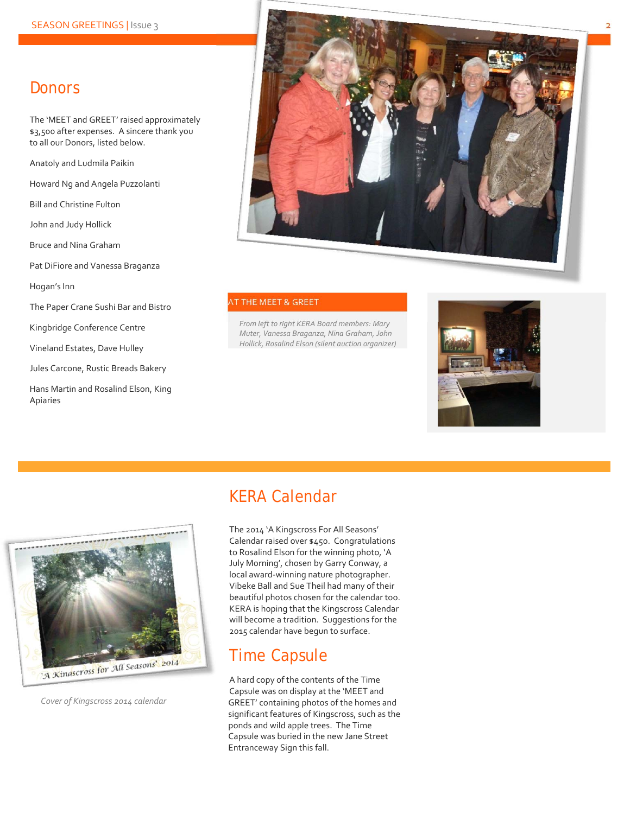### **Donors**

The 'MEET and GREET' raised approximately \$3,500 after expenses. A sincere thank you to all our Donors, listed below.

Anatoly and Ludmila Paikin

Howard Ng and Angela Puzzolanti

Bill and Christine Fulton

John and Judy Hollick

Bruce and Nina Graham

Pat DiFiore and Vanessa Braganza

Hogan's Inn

The Paper Crane Sushi Bar and Bistro

Kingbridge Conference Centre

Vineland Estates, Dave Hulley

Jules Carcone, Rustic Breads Bakery

Hans Martin and Rosalind Elson, King Apiaries



#### AT THE MEET & GREET

*From left to right KERA Board members: Mary Muter, Vanessa Braganza, Nina Graham, John Hollick, Rosalind Elson (silent auction organizer)*





*Cover of Kingscross 2014 calendar*

### KERA Calendar

The 2014 'A Kingscross For All Seasons' Calendar raised over \$450. Congratulations to Rosalind Elson for the winning photo, 'A July Morning', chosen by Garry Conway, a local award‐winning nature photographer. Vibeke Ball and Sue Theil had many of their beautiful photos chosen for the calendar too. KERA is hoping that the Kingscross Calendar will become a tradition. Suggestions for the 2015 calendar have begun to surface.

#### Time Capsule

A hard copy of the contents of the Time Capsule was on display at the 'MEET and GREET' containing photos of the homes and significant features of Kingscross, such as the ponds and wild apple trees. The Time Capsule was buried in the new Jane Street Entranceway Sign this fall.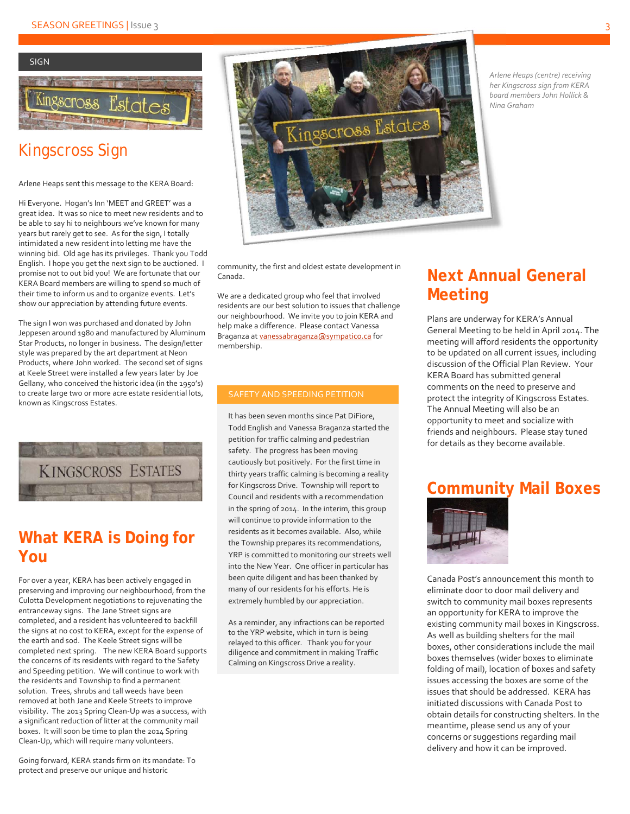

### Kingscross Sign

Arlene Heaps sent this message to the KERA Board:

Hi Everyone. Hogan's Inn 'MEET and GREET' was a great idea. It was so nice to meet new residents and to be able to say hi to neighbours we've known for many years but rarely get to see. As for the sign, I totally intimidated a new resident into letting me have the winning bid. Old age has its privileges. Thank you Todd English. I hope you get the next sign to be auctioned. I promise not to out bid you! We are fortunate that our KERA Board members are willing to spend so much of their time to inform us and to organize events. Let's show our appreciation by attending future events.

The sign I won was purchased and donated by John Jeppesen around 1980 and manufactured by Aluminum Star Products, no longer in business. The design/letter style was prepared by the art department at Neon Products, where John worked. The second set of signs at Keele Street were installed a few years later by Joe Gellany, who conceived the historic idea (in the 1950's) to create large two or more acre estate residential lots, known as Kingscross Estates.



### **What KERA is Doing for You**

For over a year, KERA has been actively engaged in preserving and improving our neighbourhood, from the Culotta Development negotiations to rejuvenating the entranceway signs. The Jane Street signs are completed, and a resident has volunteered to backfill the signs at no cost to KERA, except for the expense of the earth and sod. The Keele Street signs will be completed next spring. The new KERA Board supports the concerns of its residents with regard to the Safety and Speeding petition. We will continue to work with the residents and Township to find a permanent solution. Trees, shrubs and tall weeds have been removed at both Jane and Keele Streets to improve visibility. The 2013 Spring Clean‐Up was a success, with a significant reduction of litter at the community mail boxes. It will soon be time to plan the 2014 Spring Clean‐Up, which will require many volunteers.

Going forward, KERA stands firm on its mandate: To protect and preserve our unique and historic



community, the first and oldest estate development in Canada.

We are a dedicated group who feel that involved residents are our best solution to issues that challenge our neighbourhood. We invite you to join KERA and help make a difference. Please contact Vanessa Braganza at vanessabraganza@sympatico.ca for membership.

#### SAFETY AND SPEEDING PETITION

It has been seven months since Pat DiFiore, Todd English and Vanessa Braganza started the petition for traffic calming and pedestrian safety. The progress has been moving cautiously but positively. For the first time in thirty years traffic calming is becoming a reality for Kingscross Drive. Township will report to Council and residents with a recommendation in the spring of 2014. In the interim, this group will continue to provide information to the residents as it becomes available. Also, while the Township prepares its recommendations, YRP is committed to monitoring our streets well into the New Year. One officer in particular has been quite diligent and has been thanked by many of our residents for his efforts. He is extremely humbled by our appreciation.

As a reminder, any infractions can be reported to the YRP website, which in turn is being relayed to this officer. Thank you for your diligence and commitment in making Traffic Calming on Kingscross Drive a reality.

### **Next Annual General Meeting**

Plans are underway for KERA's Annual General Meeting to be held in April 2014. The meeting will afford residents the opportunity to be updated on all current issues, including discussion of the Official Plan Review. Your KERA Board has submitted general comments on the need to preserve and protect the integrity of Kingscross Estates. The Annual Meeting will also be an opportunity to meet and socialize with friends and neighbours. Please stay tuned for details as they become available.

#### **Community Mail Boxes**



Canada Post's announcement this month to eliminate door to door mail delivery and switch to community mail boxes represents an opportunity for KERA to improve the existing community mail boxes in Kingscross. As well as building shelters for the mail boxes, other considerations include the mail boxes themselves (wider boxes to eliminate folding of mail), location of boxes and safety issues accessing the boxes are some of the issues that should be addressed. KERA has initiated discussions with Canada Post to obtain details for constructing shelters. In the meantime, please send us any of your concerns or suggestions regarding mail delivery and how it can be improved.

*Arlene Heaps (centre) receiving her Kingscross sign from KERA board members John Hollick & Nina Graham*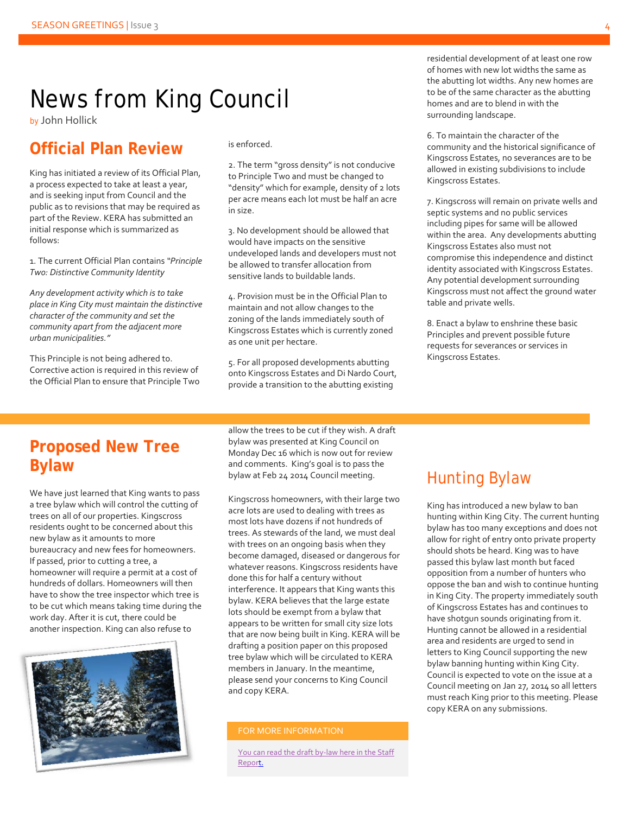## News from King Council

by John Hollick

#### **Official Plan Review**

King has initiated a review of its Official Plan, a process expected to take at least a year, and is seeking input from Council and the public as to revisions that may be required as part of the Review. KERA has submitted an initial response which is summarized as follows:

1. The current Official Plan contains *"Principle Two: Distinctive Community Identity*

*Any development activity which is to take place in King City must maintain the distinctive character of the community and set the community apart from the adjacent more urban municipalities."*

This Principle is not being adhered to. Corrective action is required in this review of the Official Plan to ensure that Principle Two is enforced.

2. The term "gross density" is not conducive to Principle Two and must be changed to "density" which for example, density of 2 lots per acre means each lot must be half an acre in size.

3. No development should be allowed that would have impacts on the sensitive undeveloped lands and developers must not be allowed to transfer allocation from sensitive lands to buildable lands.

4. Provision must be in the Official Plan to maintain and not allow changes to the zoning of the lands immediately south of Kingscross Estates which is currently zoned as one unit per hectare.

5. For all proposed developments abutting onto Kingscross Estates and Di Nardo Court, provide a transition to the abutting existing

residential development of at least one row of homes with new lot widths the same as the abutting lot widths. Any new homes are to be of the same character as the abutting homes and are to blend in with the surrounding landscape.

6. To maintain the character of the community and the historical significance of Kingscross Estates, no severances are to be allowed in existing subdivisions to include Kingscross Estates.

7. Kingscross will remain on private wells and septic systems and no public services including pipes for same will be allowed within the area. Any developments abutting Kingscross Estates also must not compromise this independence and distinct identity associated with Kingscross Estates. Any potential development surrounding Kingscross must not affect the ground water table and private wells.

8. Enact a bylaw to enshrine these basic Principles and prevent possible future requests for severances or services in Kingscross Estates.

#### **Proposed New Tree Bylaw**

We have just learned that King wants to pass a tree bylaw which will control the cutting of trees on all of our properties. Kingscross residents ought to be concerned about this new bylaw as it amounts to more bureaucracy and new fees for homeowners. If passed, prior to cutting a tree, a homeowner will require a permit at a cost of hundreds of dollars. Homeowners will then have to show the tree inspector which tree is to be cut which means taking time during the work day. After it is cut, there could be another inspection. King can also refuse to



allow the trees to be cut if they wish. A draft bylaw was presented at King Council on Monday Dec 16 which is now out for review and comments. King's goal is to pass the bylaw at Feb 24 2014 Council meeting.

Kingscross homeowners, with their large two acre lots are used to dealing with trees as most lots have dozens if not hundreds of trees. As stewards of the land, we must deal with trees on an ongoing basis when they become damaged, diseased or dangerous for whatever reasons. Kingscross residents have done this for half a century without interference. It appears that King wants this bylaw. KERA believes that the large estate lots should be exempt from a bylaw that appears to be written for small city size lots that are now being built in King. KERA will be drafting a position paper on this proposed tree bylaw which will be circulated to KERA members in January. In the meantime, please send your concerns to King Council and copy KERA.

#### FOR MORE INFORMATION

You can read the draft by-law here in the Staff Report.

### Hunting Bylaw

King has introduced a new bylaw to ban hunting within King City. The current hunting bylaw has too many exceptions and does not allow for right of entry onto private property should shots be heard. King was to have passed this bylaw last month but faced opposition from a number of hunters who oppose the ban and wish to continue hunting in King City. The property immediately south of Kingscross Estates has and continues to have shotgun sounds originating from it. Hunting cannot be allowed in a residential area and residents are urged to send in letters to King Council supporting the new bylaw banning hunting within King City. Council is expected to vote on the issue at a Council meeting on Jan 27, 2014 so all letters must reach King prior to this meeting. Please copy KERA on any submissions.